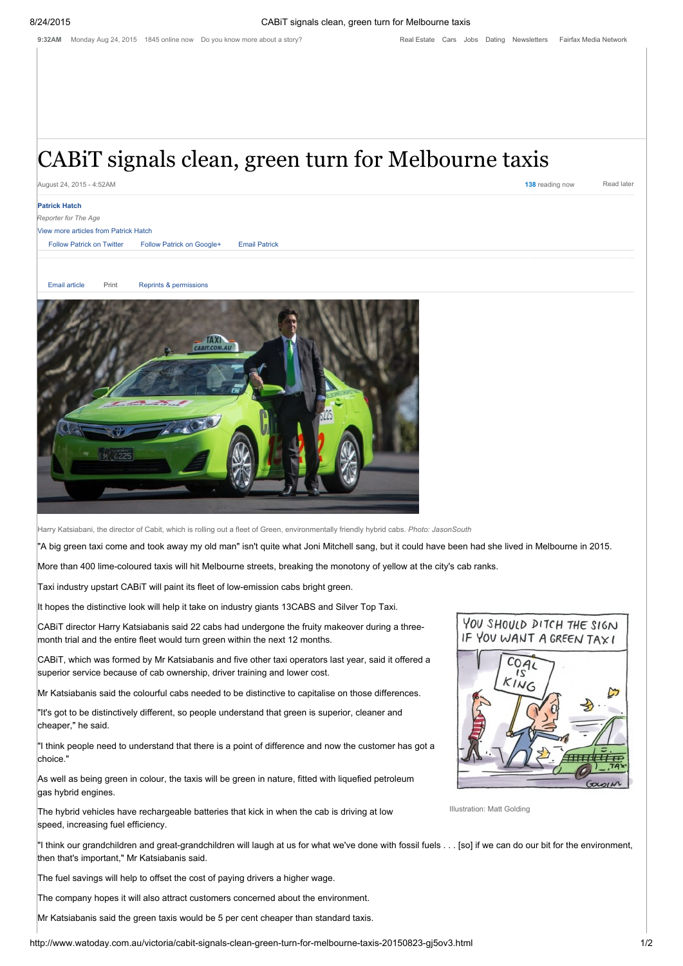# CABiT signals clean, green turn for Melbourne taxis

August 24, 2015 - 4:52AM 138 reading now Read later

### Patrick Hatch

*Reporter for The Age*

## View more articles from Patrick Hatch

Follow [Patrick](mailto:patrick.hatch@fairfaxmedia.com.au) on Twitter Follow Patrick on [Google+](https://plus.google.com/105822336186422025680/post) Email Patrick

Email [article](http://www.watoday.com.au/action/emailToFriend?id=999637023) [Print](http://www.watoday.com.au/action/printArticle?id=999637023) Reprints & [permissions](http://rightsportal.copyright.com.au/pages/republicationpage.aspx?publisher=fxj&publication=WAT&author=Patrick%20Hatch%20&title=CABiT%20signals%20clean,%20green%20turn%20for%20Melbourne%20taxis&publicationdate=23/08/2015&url=http://www.watoday.com.au/victoria/cabit-signals-clean-green-turn-for-melbourne-taxis-20150823-gj5ov3.html)

submit to reddit



Harry Katsiabani, the director of Cabit, which is rolling out a fleet of Green, environmentally friendly hybrid cabs. *Photo: JasonSouth*

"A big green taxi come and took away my old man" isn't quite what Joni Mitchell sang, but it could have been had she lived in Melbourne in 2015.

More than 400 lime-coloured taxis will hit Melbourne streets, breaking the monotony of yellow at the city's cab ranks.

Taxi industry upstart CABiT will paint its fleet of low-emission cabs bright green.

It hopes the distinctive look will help it take on industry giants 13CABS and Silver Top Taxi.

CABiT director Harry Katsiabanis said 22 cabs had undergone the fruity makeover during a threemonth trial and the entire fleet would turn green within the next 12 months.

CABiT, which was formed by Mr Katsiabanis and five other taxi operators last year, said it offered a superior service because of cab ownership, driver training and lower cost.

Mr Katsiabanis said the colourful cabs needed to be distinctive to capitalise on those differences.

"It's got to be distinctively different, so people understand that green is superior, cleaner and cheaper," he said.

"I think people need to understand that there is a point of difference and now the customer has got a choice."

As well as being green in colour, the taxis will be green in nature, fitted with liquefied petroleum gas hybrid engines.

The hybrid vehicles have rechargeable batteries that kick in when the cab is driving at low speed, increasing fuel efficiency.

"I think our grandchildren and great-grandchildren will laugh at us for what we've done with fossil fuels . . . [so] if we can do our bit for the environment, then that's important," Mr Katsiabanis said.

The fuel savings will help to offset the cost of paying drivers a higher wage.

The company hopes it will also attract customers concerned about the environment.

Mr Katsiabanis said the green taxis would be 5 per cent cheaper than standard taxis.



Illustration: Matt Golding